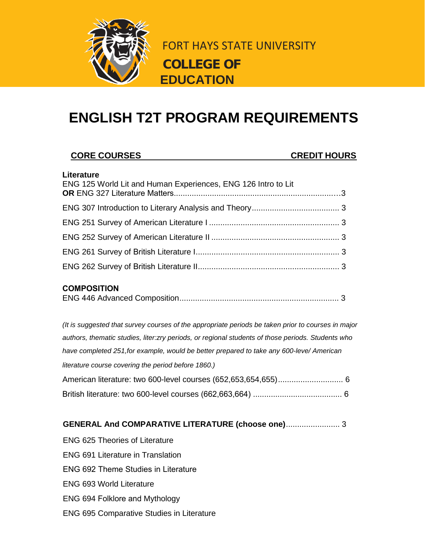

FORT HAYS STATE UNIVERSITY **COLLEGE OF EDUCATION**

# **ENGLISH T2T PROGRAM REQUIREMENTS**

## **CORE COURSES CREDIT HOURS**

#### **Literature**

| Litte atui t<br>ENG 125 World Lit and Human Experiences, ENG 126 Intro to Lit |  |
|-------------------------------------------------------------------------------|--|
|                                                                               |  |
|                                                                               |  |
|                                                                               |  |
|                                                                               |  |
|                                                                               |  |
|                                                                               |  |

## **COMPOSITION**

|--|

*(It is suggested that survey courses of the appropriate periods be taken prior to courses in major authors, thematic studies, liter:zry periods, or regional students of those periods. Students who have completed 251,for example, would be better prepared to take any 600-leve/ American literature course covering the period before 1860.)* American literature: two 600-level courses (652,653,654,655)............................. 6 British literature: two 600-level courses (662,663,664) ........................................ 6

## **GENERAL And COMPARATIVE LITERATURE (choose one)**........................ 3

- ENG 625 Theories of Literature ENG 691 Literature in Translation
- 
- ENG 692 Theme Studies in Literature
- ENG 693 World Literature
- ENG 694 Folklore and Mythology
- ENG 695 Comparative Studies in Literature